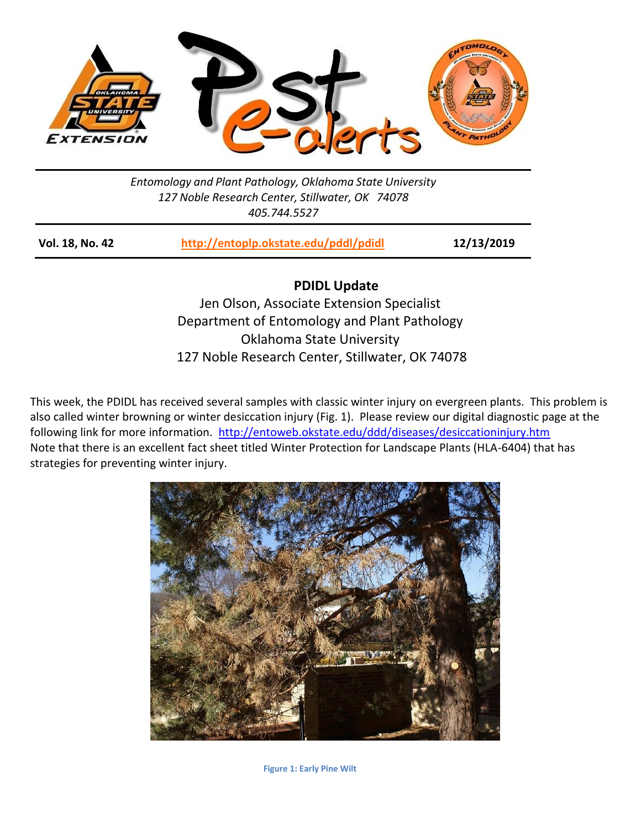

## *Entomology and Plant Pathology, Oklahoma State University 127 Noble Research Center, Stillwater, OK 74078 405.744.5527*

| Vol. 18, No. 42 | http://entoplp.okstate.edu/pddl/pdidl | 12/13/2019 |
|-----------------|---------------------------------------|------------|
|-----------------|---------------------------------------|------------|

**PDIDL Update**

Jen Olson, Associate Extension Specialist Department of Entomology and Plant Pathology Oklahoma State University 127 Noble Research Center, Stillwater, OK 74078

This week, the PDIDL has received several samples with classic winter injury on evergreen plants. This problem is also called winter browning or winter desiccation injury (Fig. 1). Please review our digital diagnostic page at the following link for more information. <http://entoweb.okstate.edu/ddd/diseases/desiccationinjury.htm> Note that there is an excellent fact sheet titled Winter Protection for Landscape Plants (HLA-6404) that has strategies for preventing winter injury.



**Figure 1: Early Pine Wilt**